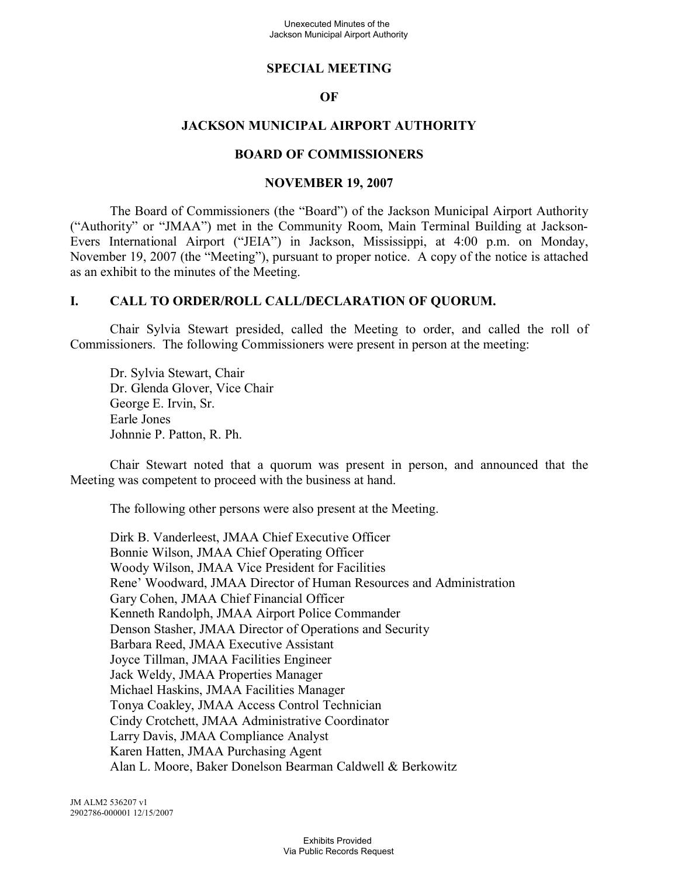#### **SPECIAL MEETING**

#### **OF**

### **JACKSON MUNICIPAL AIRPORT AUTHORITY**

#### **BOARD OF COMMISSIONERS**

#### **NOVEMBER 19, 2007**

The Board of Commissioners (the "Board") of the Jackson Municipal Airport Authority ("Authority" or "JMAA") met in the Community Room, Main Terminal Building at Jackson-Evers International Airport ("JEIA") in Jackson, Mississippi, at 4:00 p.m. on Monday, November 19, 2007 (the "Meeting"), pursuant to proper notice. A copy of the notice is attached as an exhibit to the minutes of the Meeting.

#### **I. CALL TO ORDER/ROLL CALL/DECLARATION OF QUORUM.**

Chair Sylvia Stewart presided, called the Meeting to order, and called the roll of Commissioners. The following Commissioners were present in person at the meeting:

Dr. Sylvia Stewart, Chair Dr. Glenda Glover, Vice Chair George E. Irvin, Sr. Earle Jones Johnnie P. Patton, R. Ph.

Chair Stewart noted that a quorum was present in person, and announced that the Meeting was competent to proceed with the business at hand.

The following other persons were also present at the Meeting.

Dirk B. Vanderleest, JMAA Chief Executive Officer Bonnie Wilson, JMAA Chief Operating Officer Woody Wilson, JMAA Vice President for Facilities Rene' Woodward, JMAA Director of Human Resources and Administration Gary Cohen, JMAA Chief Financial Officer Kenneth Randolph, JMAA Airport Police Commander Denson Stasher, JMAA Director of Operations and Security Barbara Reed, JMAA Executive Assistant Joyce Tillman, JMAA Facilities Engineer Jack Weldy, JMAA Properties Manager Michael Haskins, JMAA Facilities Manager Tonya Coakley, JMAA Access Control Technician Cindy Crotchett, JMAA Administrative Coordinator Larry Davis, JMAA Compliance Analyst Karen Hatten, JMAA Purchasing Agent Alan L. Moore, Baker Donelson Bearman Caldwell & Berkowitz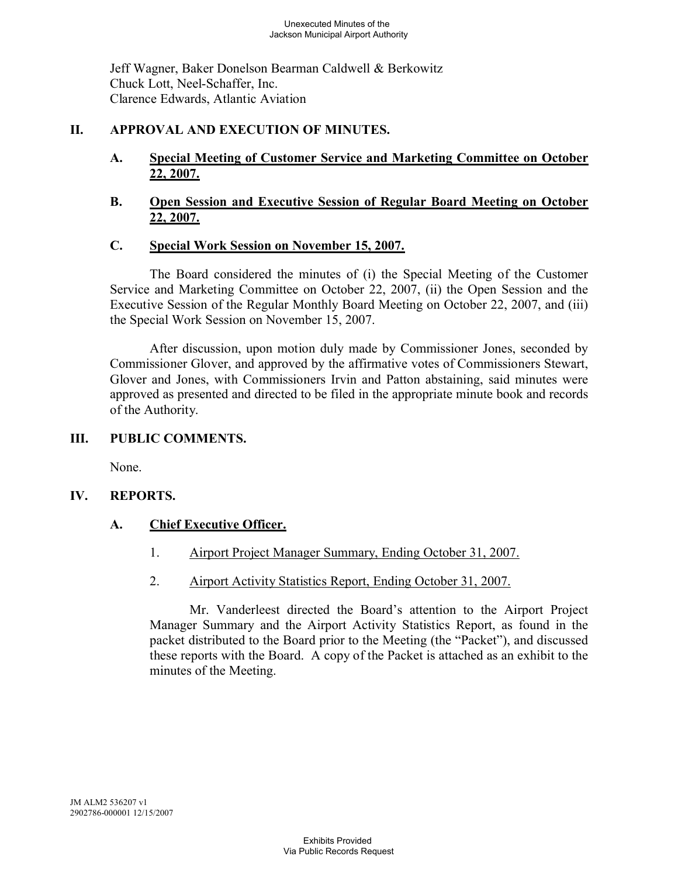Jeff Wagner, Baker Donelson Bearman Caldwell & Berkowitz Chuck Lott, Neel-Schaffer, Inc. Clarence Edwards, Atlantic Aviation

## **II. APPROVAL AND EXECUTION OF MINUTES.**

## **A. Special Meeting of Customer Service and Marketing Committee on October 22, 2007.**

## **B. Open Session and Executive Session of Regular Board Meeting on October 22, 2007.**

# **C. Special Work Session on November 15, 2007.**

The Board considered the minutes of (i) the Special Meeting of the Customer Service and Marketing Committee on October 22, 2007, (ii) the Open Session and the Executive Session of the Regular Monthly Board Meeting on October 22, 2007, and (iii) the Special Work Session on November 15, 2007.

After discussion, upon motion duly made by Commissioner Jones, seconded by Commissioner Glover, and approved by the affirmative votes of Commissioners Stewart, Glover and Jones, with Commissioners Irvin and Patton abstaining, said minutes were approved as presented and directed to be filed in the appropriate minute book and records of the Authority.

## **III. PUBLIC COMMENTS.**

None.

## **IV. REPORTS.**

## **A. Chief Executive Officer.**

- 1. Airport Project Manager Summary, Ending October 31, 2007.
- 2. Airport Activity Statistics Report, Ending October 31, 2007.

Mr. Vanderleest directed the Board's attention to the Airport Project Manager Summary and the Airport Activity Statistics Report, as found in the packet distributed to the Board prior to the Meeting (the "Packet"), and discussed these reports with the Board. A copy of the Packet is attached as an exhibit to the minutes of the Meeting.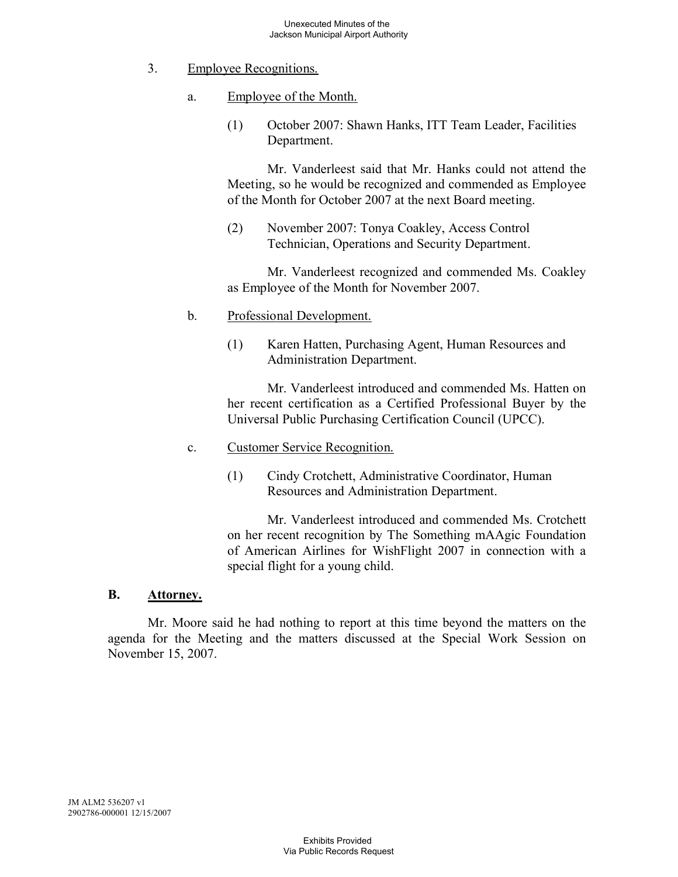- 3. Employee Recognitions.
	- a. Employee of the Month.
		- (1) October 2007: Shawn Hanks, ITT Team Leader, Facilities Department.

Mr. Vanderleest said that Mr. Hanks could not attend the Meeting, so he would be recognized and commended as Employee of the Month for October 2007 at the next Board meeting.

(2) November 2007: Tonya Coakley, Access Control Technician, Operations and Security Department.

Mr. Vanderleest recognized and commended Ms. Coakley as Employee of the Month for November 2007.

- b. Professional Development.
	- (1) Karen Hatten, Purchasing Agent, Human Resources and Administration Department.

Mr. Vanderleest introduced and commended Ms. Hatten on her recent certification as a Certified Professional Buyer by the Universal Public Purchasing Certification Council (UPCC).

- c. Customer Service Recognition.
	- (1) Cindy Crotchett, Administrative Coordinator, Human Resources and Administration Department.

Mr. Vanderleest introduced and commended Ms. Crotchett on her recent recognition by The Something mAAgic Foundation of American Airlines for WishFlight 2007 in connection with a special flight for a young child.

#### **B. Attorney.**

Mr. Moore said he had nothing to report at this time beyond the matters on the agenda for the Meeting and the matters discussed at the Special Work Session on November 15, 2007.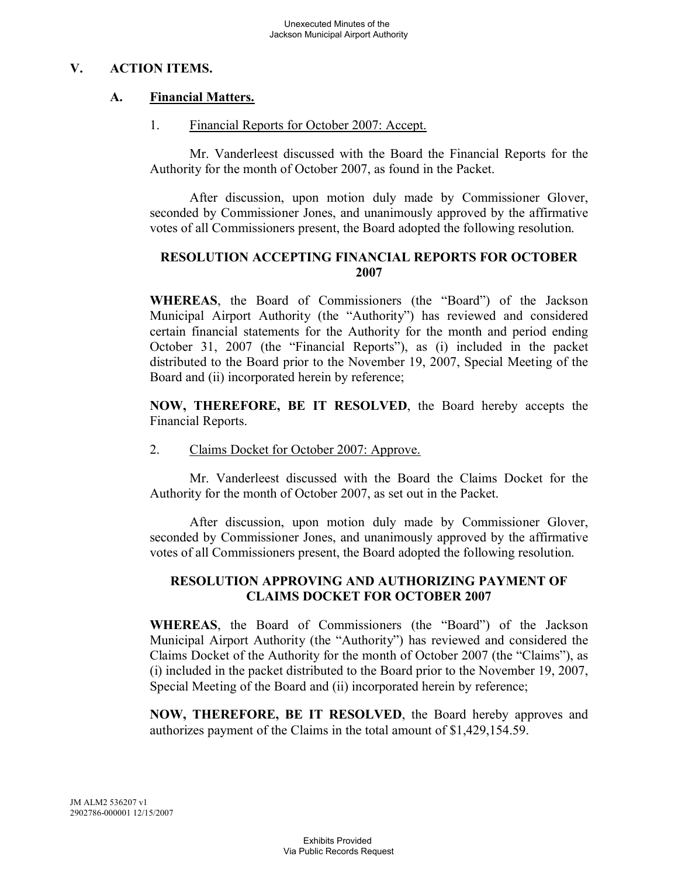## **V. ACTION ITEMS.**

## **A. Financial Matters.**

1. Financial Reports for October 2007: Accept.

Mr. Vanderleest discussed with the Board the Financial Reports for the Authority for the month of October 2007, as found in the Packet.

After discussion, upon motion duly made by Commissioner Glover, seconded by Commissioner Jones, and unanimously approved by the affirmative votes of all Commissioners present, the Board adopted the following resolution.

## **RESOLUTION ACCEPTING FINANCIAL REPORTS FOR OCTOBER 2007**

**WHEREAS**, the Board of Commissioners (the "Board") of the Jackson Municipal Airport Authority (the "Authority") has reviewed and considered certain financial statements for the Authority for the month and period ending October 31, 2007 (the "Financial Reports"), as (i) included in the packet distributed to the Board prior to the November 19, 2007, Special Meeting of the Board and (ii) incorporated herein by reference;

**NOW, THEREFORE, BE IT RESOLVED**, the Board hereby accepts the Financial Reports.

2. Claims Docket for October 2007: Approve.

Mr. Vanderleest discussed with the Board the Claims Docket for the Authority for the month of October 2007, as set out in the Packet.

After discussion, upon motion duly made by Commissioner Glover, seconded by Commissioner Jones, and unanimously approved by the affirmative votes of all Commissioners present, the Board adopted the following resolution.

## **RESOLUTION APPROVING AND AUTHORIZING PAYMENT OF CLAIMS DOCKET FOR OCTOBER 2007**

**WHEREAS**, the Board of Commissioners (the "Board") of the Jackson Municipal Airport Authority (the "Authority") has reviewed and considered the Claims Docket of the Authority for the month of October 2007 (the "Claims"), as (i) included in the packet distributed to the Board prior to the November 19, 2007, Special Meeting of the Board and (ii) incorporated herein by reference;

**NOW, THEREFORE, BE IT RESOLVED**, the Board hereby approves and authorizes payment of the Claims in the total amount of \$1,429,154.59.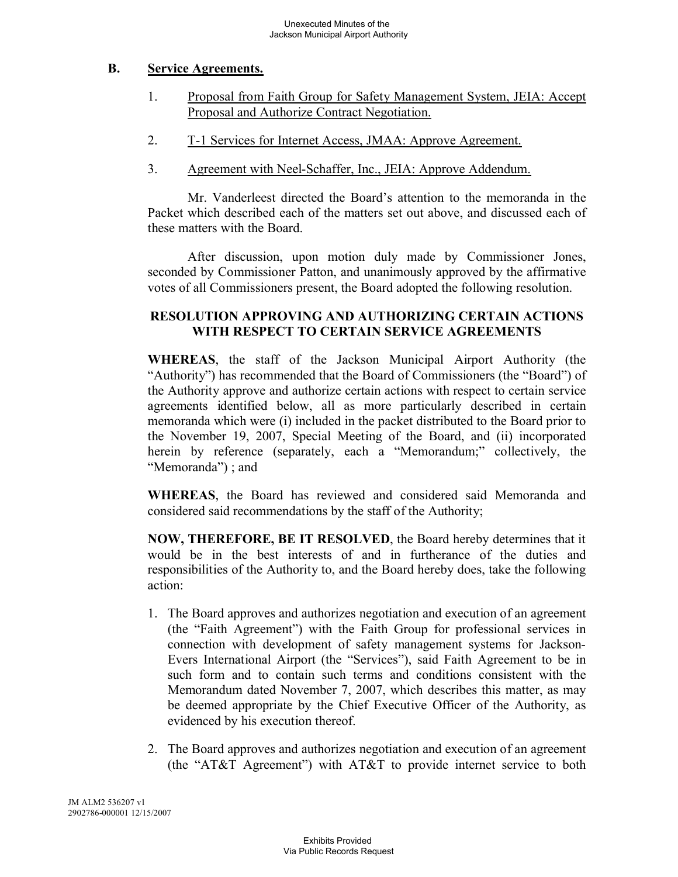### **B. Service Agreements.**

- 1. Proposal from Faith Group for Safety Management System, JEIA: Accept Proposal and Authorize Contract Negotiation.
- 2. T-1 Services for Internet Access, JMAA: Approve Agreement.
- 3. Agreement with Neel-Schaffer, Inc., JEIA: Approve Addendum.

Mr. Vanderleest directed the Board's attention to the memoranda in the Packet which described each of the matters set out above, and discussed each of these matters with the Board.

After discussion, upon motion duly made by Commissioner Jones, seconded by Commissioner Patton, and unanimously approved by the affirmative votes of all Commissioners present, the Board adopted the following resolution.

### **RESOLUTION APPROVING AND AUTHORIZING CERTAIN ACTIONS WITH RESPECT TO CERTAIN SERVICE AGREEMENTS**

**WHEREAS**, the staff of the Jackson Municipal Airport Authority (the "Authority") has recommended that the Board of Commissioners (the "Board") of the Authority approve and authorize certain actions with respect to certain service agreements identified below, all as more particularly described in certain memoranda which were (i) included in the packet distributed to the Board prior to the November 19, 2007, Special Meeting of the Board, and (ii) incorporated herein by reference (separately, each a "Memorandum;" collectively, the "Memoranda") ; and

**WHEREAS**, the Board has reviewed and considered said Memoranda and considered said recommendations by the staff of the Authority;

**NOW, THEREFORE, BE IT RESOLVED**, the Board hereby determines that it would be in the best interests of and in furtherance of the duties and responsibilities of the Authority to, and the Board hereby does, take the following action:

- 1. The Board approves and authorizes negotiation and execution of an agreement (the "Faith Agreement") with the Faith Group for professional services in connection with development of safety management systems for Jackson-Evers International Airport (the "Services"), said Faith Agreement to be in such form and to contain such terms and conditions consistent with the Memorandum dated November 7, 2007, which describes this matter, as may be deemed appropriate by the Chief Executive Officer of the Authority, as evidenced by his execution thereof.
- 2. The Board approves and authorizes negotiation and execution of an agreement (the "AT&T Agreement") with AT&T to provide internet service to both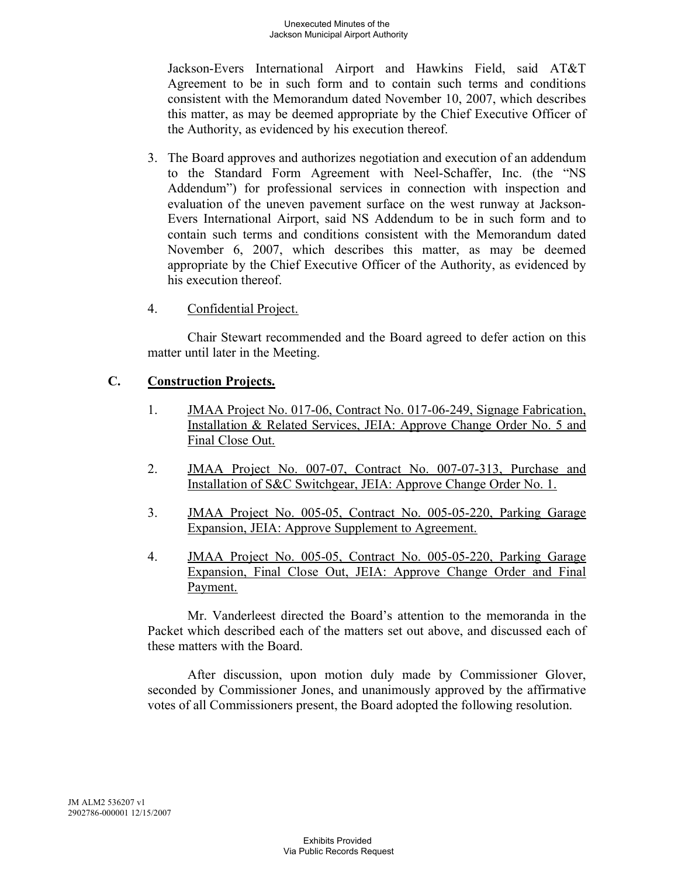Jackson-Evers International Airport and Hawkins Field, said AT&T Agreement to be in such form and to contain such terms and conditions consistent with the Memorandum dated November 10, 2007, which describes this matter, as may be deemed appropriate by the Chief Executive Officer of the Authority, as evidenced by his execution thereof.

- 3. The Board approves and authorizes negotiation and execution of an addendum to the Standard Form Agreement with Neel-Schaffer, Inc. (the "NS Addendum") for professional services in connection with inspection and evaluation of the uneven pavement surface on the west runway at Jackson-Evers International Airport, said NS Addendum to be in such form and to contain such terms and conditions consistent with the Memorandum dated November 6, 2007, which describes this matter, as may be deemed appropriate by the Chief Executive Officer of the Authority, as evidenced by his execution thereof.
- 4. Confidential Project.

Chair Stewart recommended and the Board agreed to defer action on this matter until later in the Meeting.

## **C. Construction Projects.**

- 1. JMAA Project No. 017-06, Contract No. 017-06-249, Signage Fabrication, Installation & Related Services, JEIA: Approve Change Order No. 5 and Final Close Out.
- 2. JMAA Project No. 007-07, Contract No. 007-07-313, Purchase and Installation of S&C Switchgear, JEIA: Approve Change Order No. 1.
- 3. JMAA Project No. 005-05, Contract No. 005-05-220, Parking Garage Expansion, JEIA: Approve Supplement to Agreement.
- 4. JMAA Project No. 005-05, Contract No. 005-05-220, Parking Garage Expansion, Final Close Out, JEIA: Approve Change Order and Final Payment.

Mr. Vanderleest directed the Board's attention to the memoranda in the Packet which described each of the matters set out above, and discussed each of these matters with the Board.

After discussion, upon motion duly made by Commissioner Glover, seconded by Commissioner Jones, and unanimously approved by the affirmative votes of all Commissioners present, the Board adopted the following resolution.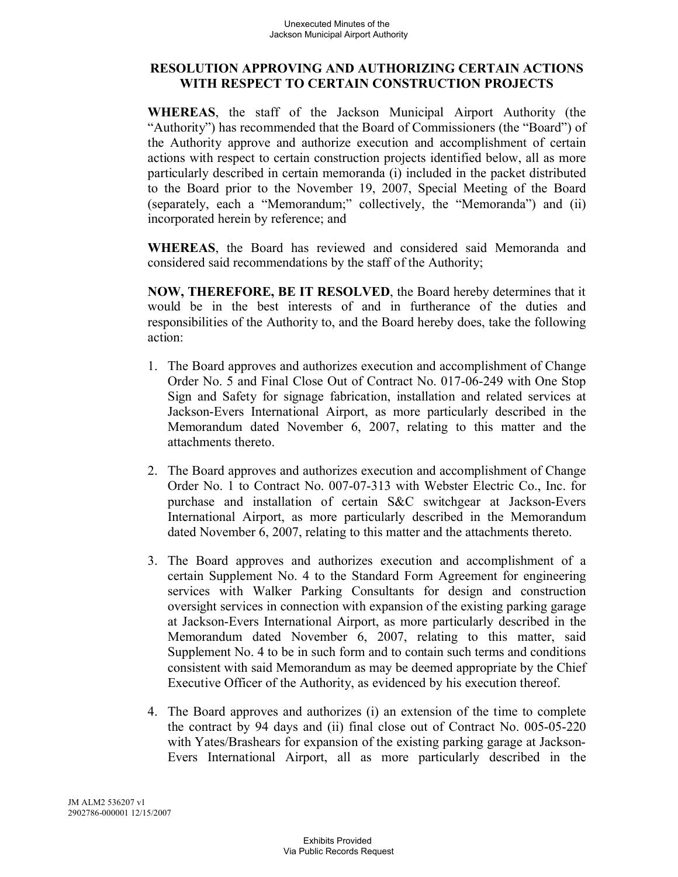#### **RESOLUTION APPROVING AND AUTHORIZING CERTAIN ACTIONS WITH RESPECT TO CERTAIN CONSTRUCTION PROJECTS**

**WHEREAS**, the staff of the Jackson Municipal Airport Authority (the "Authority") has recommended that the Board of Commissioners (the "Board") of the Authority approve and authorize execution and accomplishment of certain actions with respect to certain construction projects identified below, all as more particularly described in certain memoranda (i) included in the packet distributed to the Board prior to the November 19, 2007, Special Meeting of the Board (separately, each a "Memorandum;" collectively, the "Memoranda") and (ii) incorporated herein by reference; and

**WHEREAS**, the Board has reviewed and considered said Memoranda and considered said recommendations by the staff of the Authority;

**NOW, THEREFORE, BE IT RESOLVED**, the Board hereby determines that it would be in the best interests of and in furtherance of the duties and responsibilities of the Authority to, and the Board hereby does, take the following action:

- 1. The Board approves and authorizes execution and accomplishment of Change Order No. 5 and Final Close Out of Contract No. 017-06-249 with One Stop Sign and Safety for signage fabrication, installation and related services at Jackson-Evers International Airport, as more particularly described in the Memorandum dated November 6, 2007, relating to this matter and the attachments thereto.
- 2. The Board approves and authorizes execution and accomplishment of Change Order No. 1 to Contract No. 007-07-313 with Webster Electric Co., Inc. for purchase and installation of certain S&C switchgear at Jackson-Evers International Airport, as more particularly described in the Memorandum dated November 6, 2007, relating to this matter and the attachments thereto.
- 3. The Board approves and authorizes execution and accomplishment of a certain Supplement No. 4 to the Standard Form Agreement for engineering services with Walker Parking Consultants for design and construction oversight services in connection with expansion of the existing parking garage at Jackson-Evers International Airport, as more particularly described in the Memorandum dated November 6, 2007, relating to this matter, said Supplement No. 4 to be in such form and to contain such terms and conditions consistent with said Memorandum as may be deemed appropriate by the Chief Executive Officer of the Authority, as evidenced by his execution thereof.
- 4. The Board approves and authorizes (i) an extension of the time to complete the contract by 94 days and (ii) final close out of Contract No. 005-05-220 with Yates/Brashears for expansion of the existing parking garage at Jackson-Evers International Airport, all as more particularly described in the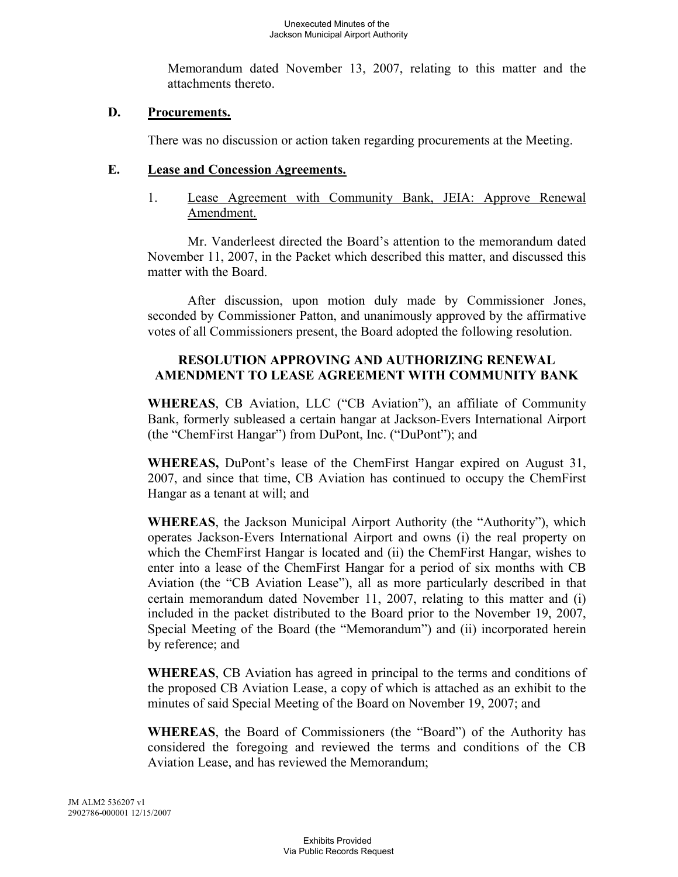Memorandum dated November 13, 2007, relating to this matter and the attachments thereto.

#### **D. Procurements.**

There was no discussion or action taken regarding procurements at the Meeting.

#### **E. Lease and Concession Agreements.**

1. Lease Agreement with Community Bank, JEIA: Approve Renewal Amendment.

Mr. Vanderleest directed the Board's attention to the memorandum dated November 11, 2007, in the Packet which described this matter, and discussed this matter with the Board.

After discussion, upon motion duly made by Commissioner Jones, seconded by Commissioner Patton, and unanimously approved by the affirmative votes of all Commissioners present, the Board adopted the following resolution.

## **RESOLUTION APPROVING AND AUTHORIZING RENEWAL AMENDMENT TO LEASE AGREEMENT WITH COMMUNITY BANK**

**WHEREAS**, CB Aviation, LLC ("CB Aviation"), an affiliate of Community Bank, formerly subleased a certain hangar at Jackson-Evers International Airport (the "ChemFirst Hangar") from DuPont, Inc. ("DuPont"); and

**WHEREAS,** DuPont's lease of the ChemFirst Hangar expired on August 31, 2007, and since that time, CB Aviation has continued to occupy the ChemFirst Hangar as a tenant at will; and

**WHEREAS**, the Jackson Municipal Airport Authority (the "Authority"), which operates Jackson-Evers International Airport and owns (i) the real property on which the ChemFirst Hangar is located and (ii) the ChemFirst Hangar, wishes to enter into a lease of the ChemFirst Hangar for a period of six months with CB Aviation (the "CB Aviation Lease"), all as more particularly described in that certain memorandum dated November 11, 2007, relating to this matter and (i) included in the packet distributed to the Board prior to the November 19, 2007, Special Meeting of the Board (the "Memorandum") and (ii) incorporated herein by reference; and

**WHEREAS**, CB Aviation has agreed in principal to the terms and conditions of the proposed CB Aviation Lease, a copy of which is attached as an exhibit to the minutes of said Special Meeting of the Board on November 19, 2007; and

**WHEREAS**, the Board of Commissioners (the "Board") of the Authority has considered the foregoing and reviewed the terms and conditions of the CB Aviation Lease, and has reviewed the Memorandum;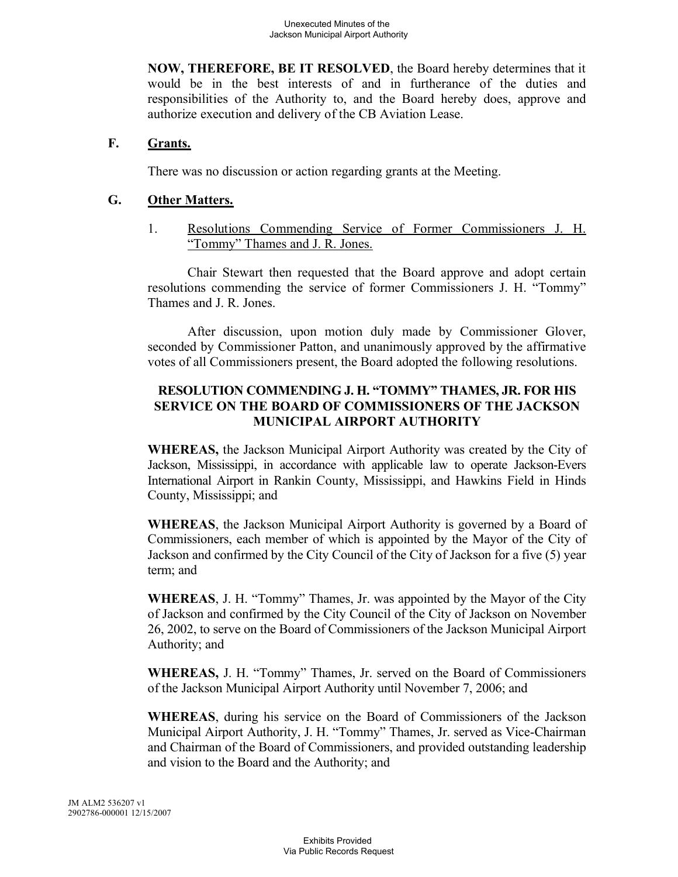**NOW, THEREFORE, BE IT RESOLVED**, the Board hereby determines that it would be in the best interests of and in furtherance of the duties and responsibilities of the Authority to, and the Board hereby does, approve and authorize execution and delivery of the CB Aviation Lease.

### **F. Grants.**

There was no discussion or action regarding grants at the Meeting.

### **G. Other Matters.**

1. Resolutions Commending Service of Former Commissioners J. H. "Tommy" Thames and J. R. Jones.

Chair Stewart then requested that the Board approve and adopt certain resolutions commending the service of former Commissioners J. H. "Tommy" Thames and J. R. Jones.

After discussion, upon motion duly made by Commissioner Glover, seconded by Commissioner Patton, and unanimously approved by the affirmative votes of all Commissioners present, the Board adopted the following resolutions.

### **RESOLUTION COMMENDING J. H. "TOMMY" THAMES, JR. FOR HIS SERVICE ON THE BOARD OF COMMISSIONERS OF THE JACKSON MUNICIPAL AIRPORT AUTHORITY**

**WHEREAS,** the Jackson Municipal Airport Authority was created by the City of Jackson, Mississippi, in accordance with applicable law to operate Jackson-Evers International Airport in Rankin County, Mississippi, and Hawkins Field in Hinds County, Mississippi; and

**WHEREAS**, the Jackson Municipal Airport Authority is governed by a Board of Commissioners, each member of which is appointed by the Mayor of the City of Jackson and confirmed by the City Council of the City of Jackson for a five (5) year term; and

**WHEREAS**, J. H. "Tommy" Thames, Jr. was appointed by the Mayor of the City of Jackson and confirmed by the City Council of the City of Jackson on November 26, 2002, to serve on the Board of Commissioners of the Jackson Municipal Airport Authority; and

**WHEREAS,** J. H. "Tommy" Thames, Jr. served on the Board of Commissioners of the Jackson Municipal Airport Authority until November 7, 2006; and

**WHEREAS**, during his service on the Board of Commissioners of the Jackson Municipal Airport Authority, J. H. "Tommy" Thames, Jr. served as Vice-Chairman and Chairman of the Board of Commissioners, and provided outstanding leadership and vision to the Board and the Authority; and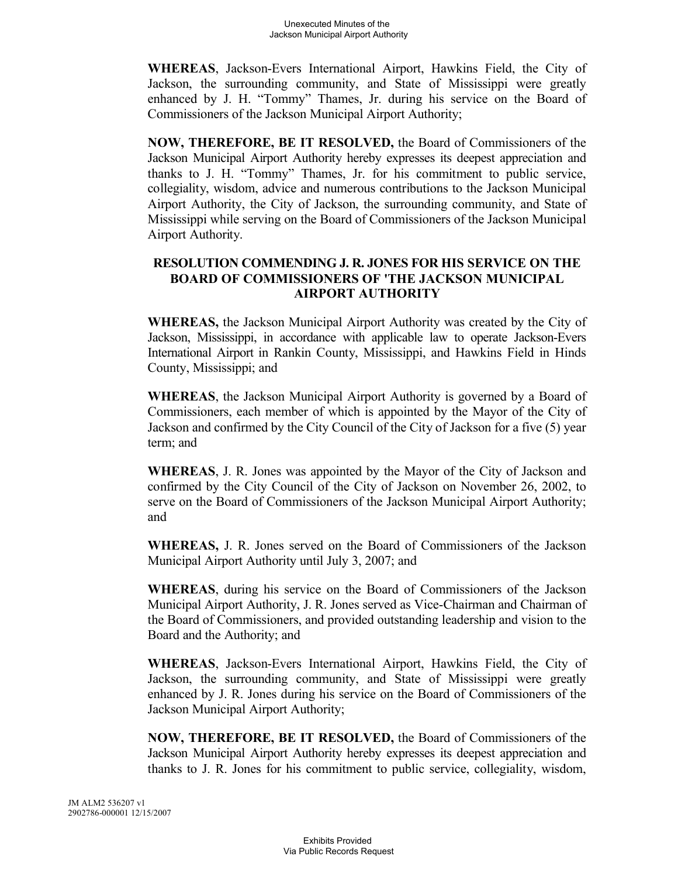**WHEREAS**, Jackson-Evers International Airport, Hawkins Field, the City of Jackson, the surrounding community, and State of Mississippi were greatly enhanced by J. H. "Tommy" Thames, Jr. during his service on the Board of Commissioners of the Jackson Municipal Airport Authority;

**NOW, THEREFORE, BE IT RESOLVED,** the Board of Commissioners of the Jackson Municipal Airport Authority hereby expresses its deepest appreciation and thanks to J. H. "Tommy" Thames, Jr. for his commitment to public service, collegiality, wisdom, advice and numerous contributions to the Jackson Municipal Airport Authority, the City of Jackson, the surrounding community, and State of Mississippi while serving on the Board of Commissioners of the Jackson Municipal Airport Authority.

## **RESOLUTION COMMENDING J. R. JONES FOR HIS SERVICE ON THE BOARD OF COMMISSIONERS OF 'THE JACKSON MUNICIPAL AIRPORT AUTHORITY**

**WHEREAS,** the Jackson Municipal Airport Authority was created by the City of Jackson, Mississippi, in accordance with applicable law to operate Jackson-Evers International Airport in Rankin County, Mississippi, and Hawkins Field in Hinds County, Mississippi; and

**WHEREAS**, the Jackson Municipal Airport Authority is governed by a Board of Commissioners, each member of which is appointed by the Mayor of the City of Jackson and confirmed by the City Council of the City of Jackson for a five (5) year term; and

**WHEREAS**, J. R. Jones was appointed by the Mayor of the City of Jackson and confirmed by the City Council of the City of Jackson on November 26, 2002, to serve on the Board of Commissioners of the Jackson Municipal Airport Authority; and

**WHEREAS,** J. R. Jones served on the Board of Commissioners of the Jackson Municipal Airport Authority until July 3, 2007; and

**WHEREAS**, during his service on the Board of Commissioners of the Jackson Municipal Airport Authority, J. R. Jones served as Vice-Chairman and Chairman of the Board of Commissioners, and provided outstanding leadership and vision to the Board and the Authority; and

**WHEREAS**, Jackson-Evers International Airport, Hawkins Field, the City of Jackson, the surrounding community, and State of Mississippi were greatly enhanced by J. R. Jones during his service on the Board of Commissioners of the Jackson Municipal Airport Authority;

**NOW, THEREFORE, BE IT RESOLVED,** the Board of Commissioners of the Jackson Municipal Airport Authority hereby expresses its deepest appreciation and thanks to J. R. Jones for his commitment to public service, collegiality, wisdom,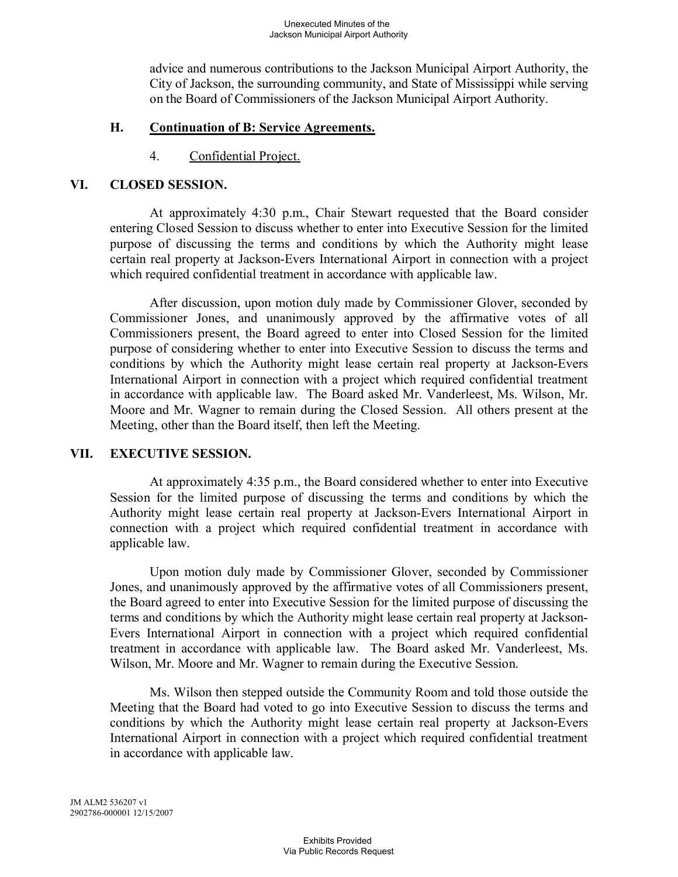advice and numerous contributions to the Jackson Municipal Airport Authority, the City of Jackson, the surrounding community, and State of Mississippi while serving on the Board of Commissioners of the Jackson Municipal Airport Authority.

### **H. Continuation of B: Service Agreements.**

4. Confidential Project.

#### **VI. CLOSED SESSION.**

At approximately 4:30 p.m., Chair Stewart requested that the Board consider entering Closed Session to discuss whether to enter into Executive Session for the limited purpose of discussing the terms and conditions by which the Authority might lease certain real property at Jackson-Evers International Airport in connection with a project which required confidential treatment in accordance with applicable law.

After discussion, upon motion duly made by Commissioner Glover, seconded by Commissioner Jones, and unanimously approved by the affirmative votes of all Commissioners present, the Board agreed to enter into Closed Session for the limited purpose of considering whether to enter into Executive Session to discuss the terms and conditions by which the Authority might lease certain real property at Jackson-Evers International Airport in connection with a project which required confidential treatment in accordance with applicable law. The Board asked Mr. Vanderleest, Ms. Wilson, Mr. Moore and Mr. Wagner to remain during the Closed Session. All others present at the Meeting, other than the Board itself, then left the Meeting.

## **VII. EXECUTIVE SESSION.**

At approximately 4:35 p.m., the Board considered whether to enter into Executive Session for the limited purpose of discussing the terms and conditions by which the Authority might lease certain real property at Jackson-Evers International Airport in connection with a project which required confidential treatment in accordance with applicable law.

Upon motion duly made by Commissioner Glover, seconded by Commissioner Jones, and unanimously approved by the affirmative votes of all Commissioners present, the Board agreed to enter into Executive Session for the limited purpose of discussing the terms and conditions by which the Authority might lease certain real property at Jackson-Evers International Airport in connection with a project which required confidential treatment in accordance with applicable law. The Board asked Mr. Vanderleest, Ms. Wilson, Mr. Moore and Mr. Wagner to remain during the Executive Session.

Ms. Wilson then stepped outside the Community Room and told those outside the Meeting that the Board had voted to go into Executive Session to discuss the terms and conditions by which the Authority might lease certain real property at Jackson-Evers International Airport in connection with a project which required confidential treatment in accordance with applicable law.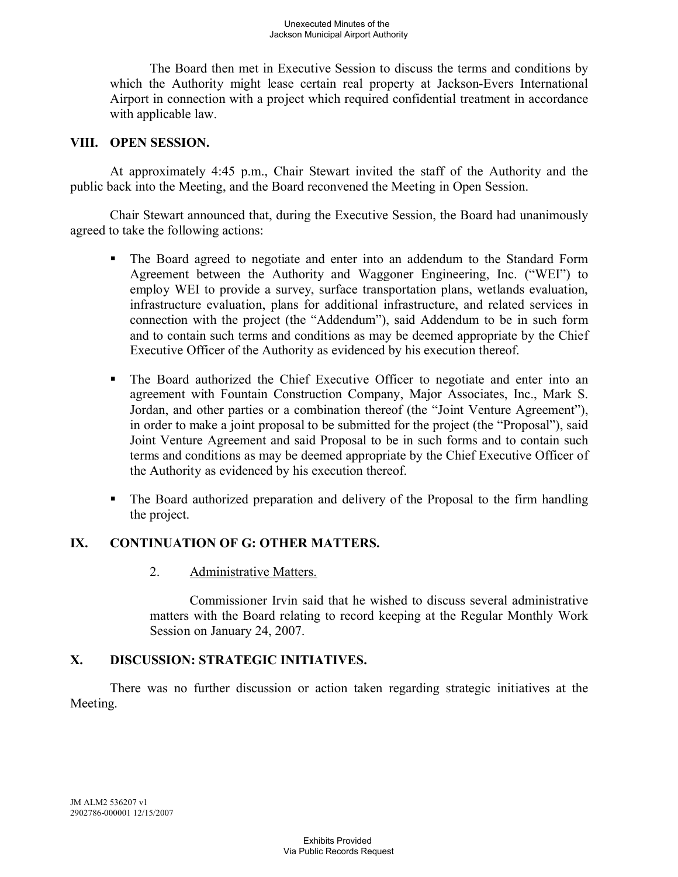The Board then met in Executive Session to discuss the terms and conditions by which the Authority might lease certain real property at Jackson-Evers International Airport in connection with a project which required confidential treatment in accordance with applicable law.

## **VIII. OPEN SESSION.**

At approximately 4:45 p.m., Chair Stewart invited the staff of the Authority and the public back into the Meeting, and the Board reconvened the Meeting in Open Session.

Chair Stewart announced that, during the Executive Session, the Board had unanimously agreed to take the following actions:

- The Board agreed to negotiate and enter into an addendum to the Standard Form Agreement between the Authority and Waggoner Engineering, Inc. ("WEI") to employ WEI to provide a survey, surface transportation plans, wetlands evaluation, infrastructure evaluation, plans for additional infrastructure, and related services in connection with the project (the "Addendum"), said Addendum to be in such form and to contain such terms and conditions as may be deemed appropriate by the Chief Executive Officer of the Authority as evidenced by his execution thereof.
- § The Board authorized the Chief Executive Officer to negotiate and enter into an agreement with Fountain Construction Company, Major Associates, Inc., Mark S. Jordan, and other parties or a combination thereof (the "Joint Venture Agreement"), in order to make a joint proposal to be submitted for the project (the "Proposal"), said Joint Venture Agreement and said Proposal to be in such forms and to contain such terms and conditions as may be deemed appropriate by the Chief Executive Officer of the Authority as evidenced by his execution thereof.
- The Board authorized preparation and delivery of the Proposal to the firm handling the project.

## **IX. CONTINUATION OF G: OTHER MATTERS.**

2. Administrative Matters.

Commissioner Irvin said that he wished to discuss several administrative matters with the Board relating to record keeping at the Regular Monthly Work Session on January 24, 2007.

## **X. DISCUSSION: STRATEGIC INITIATIVES.**

There was no further discussion or action taken regarding strategic initiatives at the Meeting.